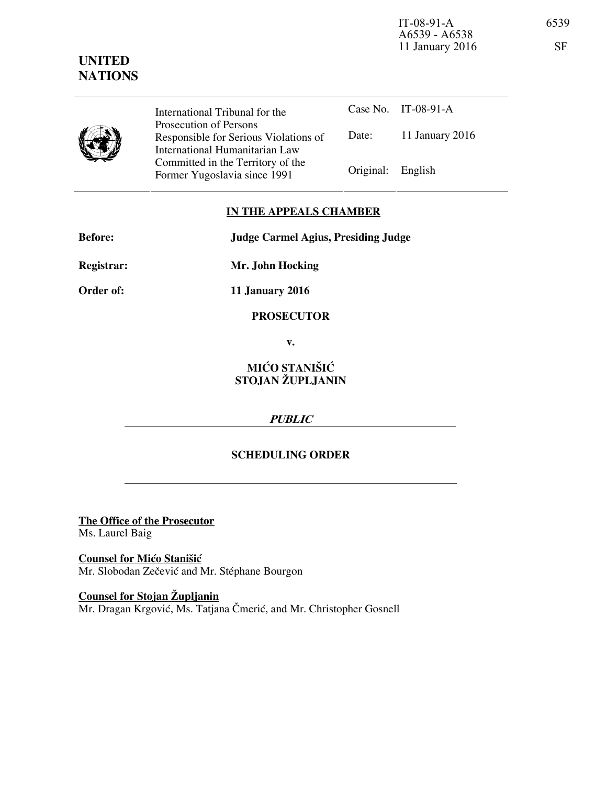

Case No. IT-08-91-A Date: 11 January 2016 International Tribunal for the Prosecution of Persons Responsible for Serious Violations of International Humanitarian Law Committed in the Territory of the Former Yugoslavia since 1991 Original: English

## **IN THE APPEALS CHAMBER**

| <b>Before:</b> | <b>Judge Carmel Agius, Presiding Judge</b> |
|----------------|--------------------------------------------|
| Registrar:     | Mr. John Hocking                           |

**Order of: 11 January 2016** 

**PROSECUTOR** 

**v.** 

# **MIĆO STANIŠIĆ STOJAN ŽUPLJANIN**

## **PUBLIC**

## **SCHEDULING ORDER**

**The Office of the Prosecutor** Ms. Laurel Baig

**Counsel for Mićo Stanišić** Mr. Slobodan Zečević and Mr. Stéphane Bourgon

**Counsel for Stojan Župljanin** Mr. Dragan Krgović, Ms. Tatjana Čmerić, and Mr. Christopher Gosnell